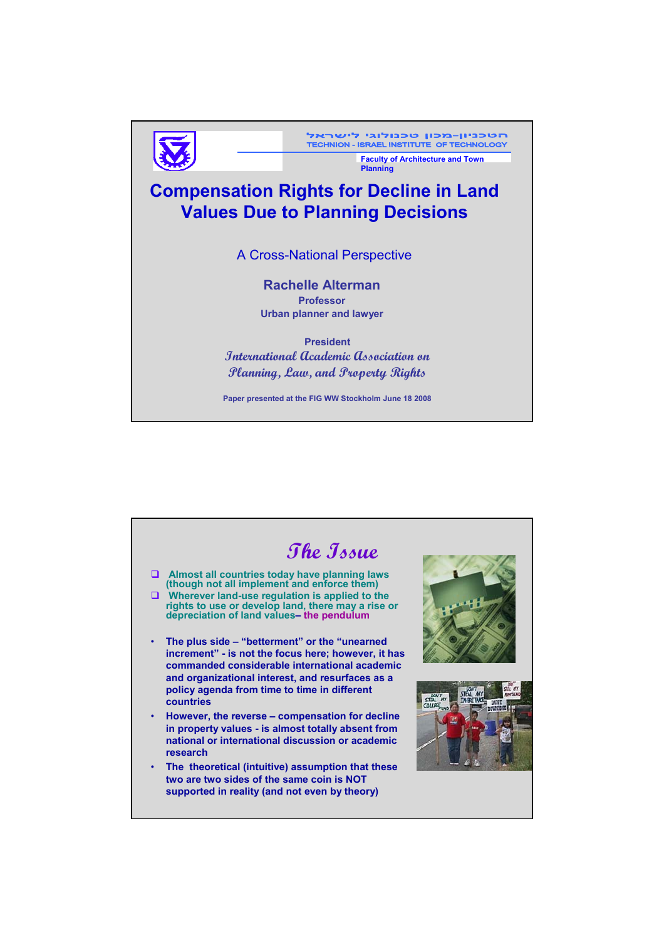

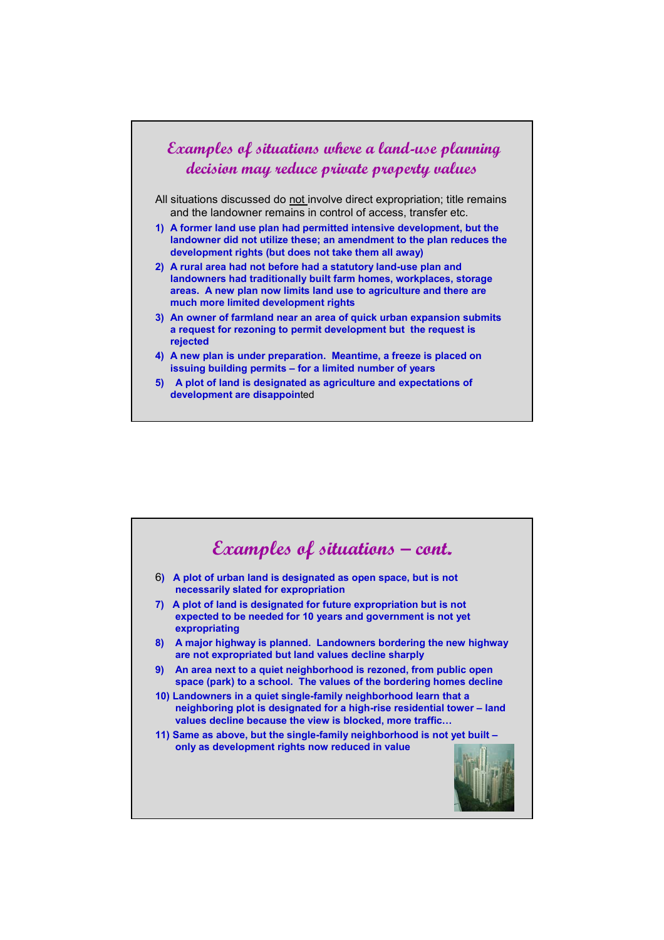

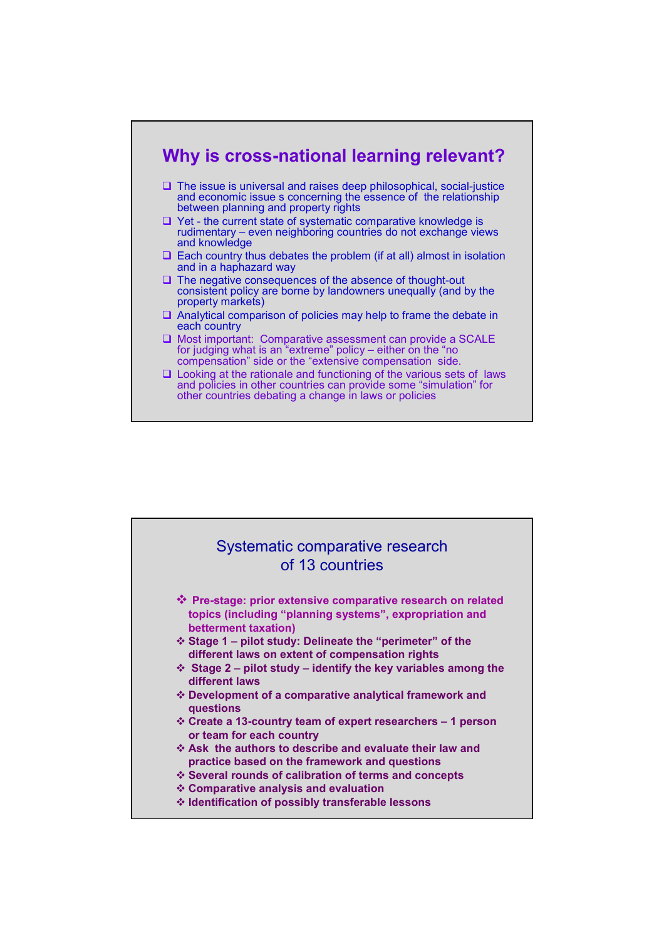

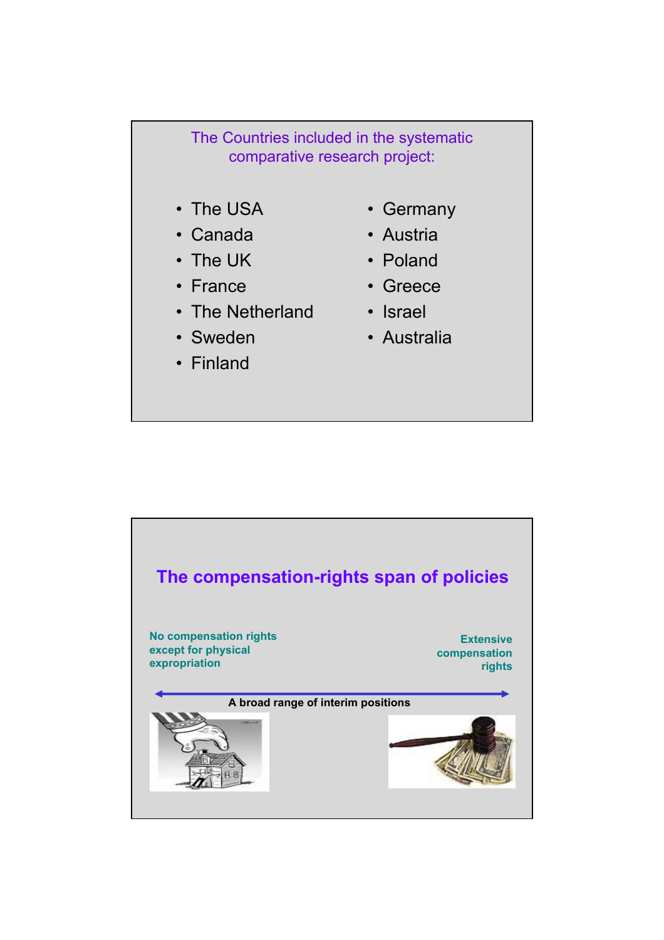## The Countries included in the systematic comparative research project:

- The USA
- Canada
- The UK
- France
- The Netherland
- Sweden
- Finland
- Germany
- Austria
- Poland
- Greece
- Israel
- Australia

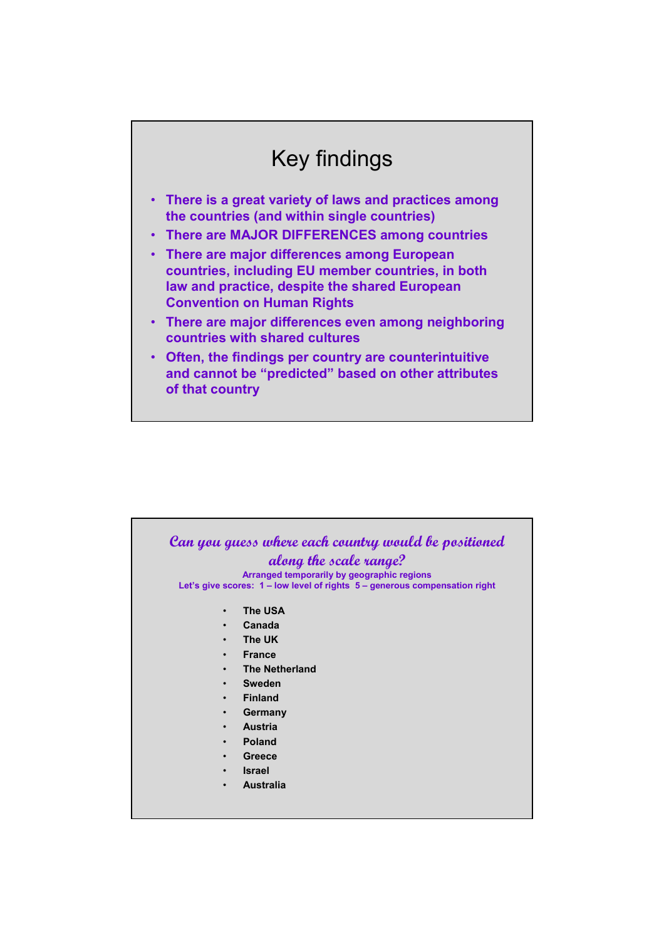## Key findings

- **There is a great variety of laws and practices among the countries (and within single countries)**
- **There are MAJOR DIFFERENCES among countries**
- **There are major differences among European countries, including EU member countries, in both law and practice, despite the shared European Convention on Human Rights**
- **There are major differences even among neighboring countries with shared cultures**
- **Often, the findings per country are counterintuitive and cannot be "predicted" based on other attributes of that country**